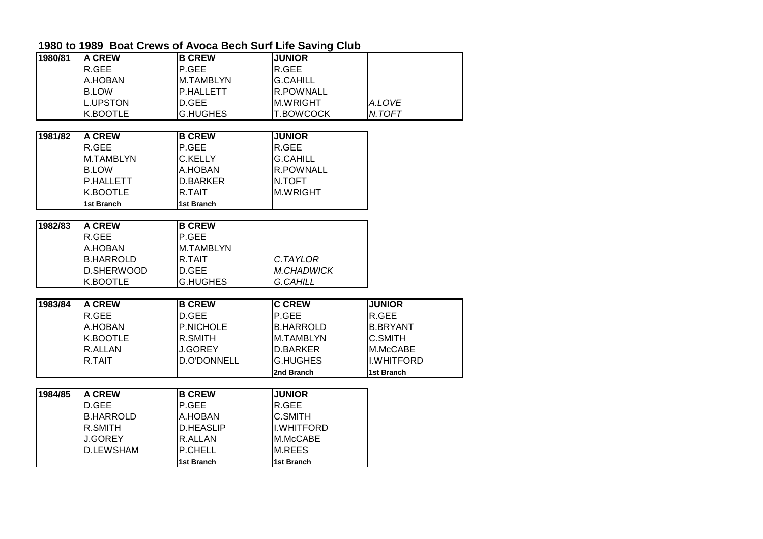| 1980/81 | <b>A CREW</b>     | <b>B CREW</b>      | <b>JUNIOR</b>     |                 |
|---------|-------------------|--------------------|-------------------|-----------------|
|         | R.GEE             | P.GEE              | R.GEE             |                 |
|         | A.HOBAN           | M.TAMBLYN          | <b>G.CAHILL</b>   |                 |
|         | <b>B.LOW</b>      | P.HALLETT          | R.POWNALL         |                 |
|         | <b>L.UPSTON</b>   | D.GEE              | <b>M.WRIGHT</b>   | A.LOVE          |
|         | K.BOOTLE          | <b>G.HUGHES</b>    | T.BOWCOCK         | N.TOFT          |
|         |                   |                    |                   |                 |
| 1981/82 | <b>A CREW</b>     | <b>B CREW</b>      | <b>JUNIOR</b>     |                 |
|         | R.GEE             | P.GEE              | R.GEE             |                 |
|         | M.TAMBLYN         | C.KELLY            | <b>G.CAHILL</b>   |                 |
|         | <b>B.LOW</b>      | A.HOBAN            | R.POWNALL         |                 |
|         | P.HALLETT         | <b>D.BARKER</b>    | N.TOFT            |                 |
|         | K.BOOTLE          | R.TAIT             | <b>M.WRIGHT</b>   |                 |
|         | <b>1st Branch</b> | 1st Branch         |                   |                 |
|         |                   |                    |                   |                 |
| 1982/83 | <b>A CREW</b>     | <b>B CREW</b>      |                   |                 |
|         | R.GEE             | P.GEE              |                   |                 |
|         | A.HOBAN           | M.TAMBLYN          |                   |                 |
|         | <b>B.HARROLD</b>  | R.TAIT             | C.TAYLOR          |                 |
|         | D.SHERWOOD        | D.GEE              | <b>M.CHADWICK</b> |                 |
|         | K.BOOTLE          | <b>G.HUGHES</b>    | <b>G.CAHILL</b>   |                 |
|         |                   |                    |                   |                 |
| 1983/84 | <b>A CREW</b>     | <b>B CREW</b>      | <b>C CREW</b>     | <b>JUNIOR</b>   |
|         | R.GEE             | D.GEE              | P.GEE             | R.GEE           |
|         | A.HOBAN           | <b>P.NICHOLE</b>   | <b>B.HARROLD</b>  | <b>B.BRYANT</b> |
|         | K.BOOTLE          | R.SMITH            | M.TAMBLYN         | <b>C.SMITH</b>  |
|         | R.ALLAN           | <b>J.GOREY</b>     | D.BARKER          | M.McCABE        |
|         | R.TAIT            | <b>D.O'DONNELL</b> | <b>G.HUGHES</b>   | I.WHITFORD      |
|         |                   |                    | 2nd Branch        | 1st Branch      |
|         |                   |                    |                   |                 |
| 1984/85 | <b>A CREW</b>     | <b>B CREW</b>      | <b>JUNIOR</b>     |                 |
|         | D.GEE             | P.GEE              | R.GEE             |                 |
|         | <b>B.HARROLD</b>  | A.HOBAN            | C.SMITH           |                 |
|         | R.SMITH           | <b>D.HEASLIP</b>   | I.WHITFORD        |                 |
|         | <b>J.GOREY</b>    | R.ALLAN            | M.McCABE          |                 |
|         | <b>D.LEWSHAM</b>  | P.CHELL            | <b>M.REES</b>     |                 |
|         |                   | 1st Branch         | 1st Branch        |                 |

## **1980 to 1989 Boat Crews of Avoca Bech Surf Life Saving Club**